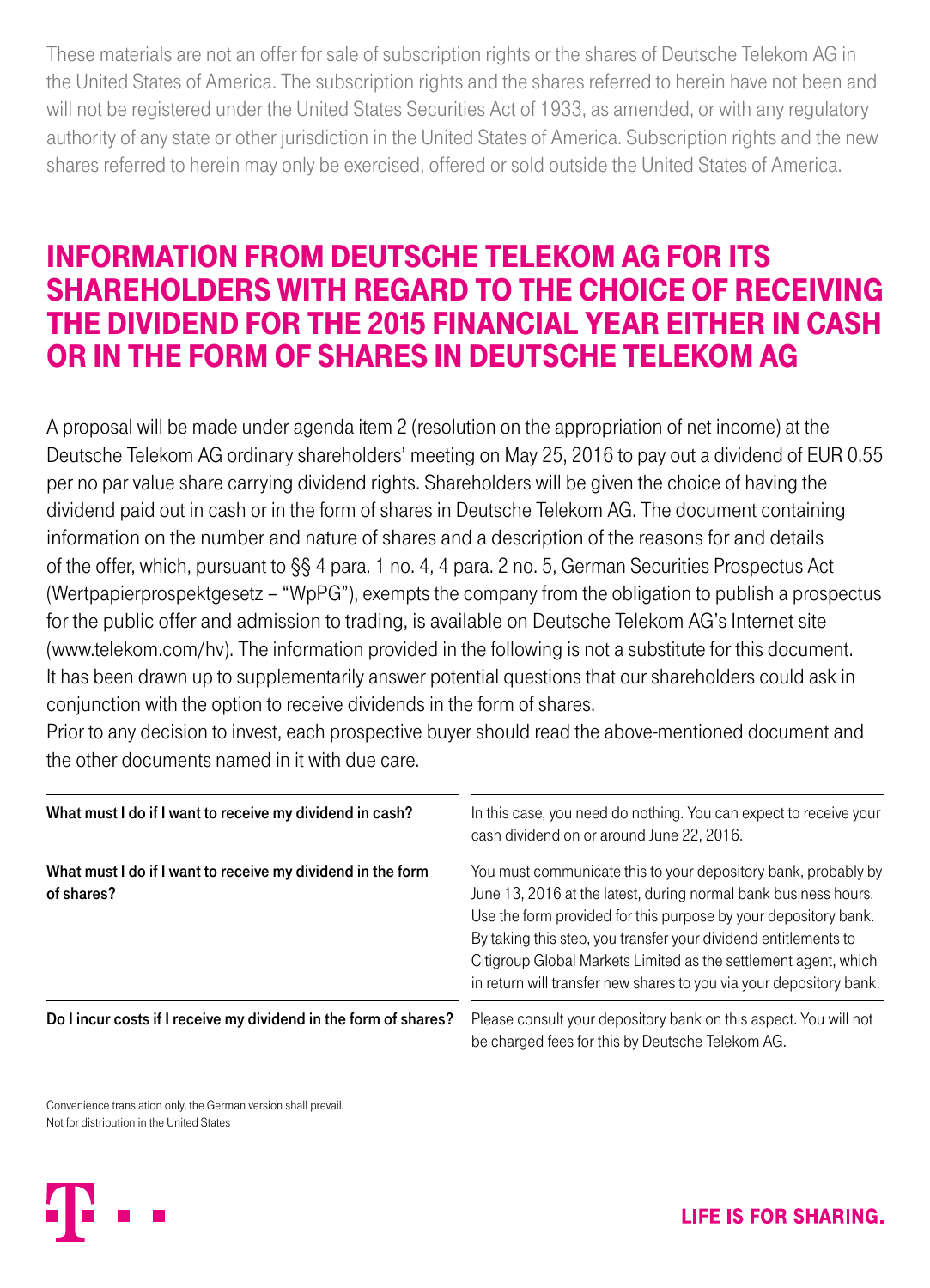These materials are not an offer for sale of subscription rights or the shares of Deutsche Telekom AG in the United States of America. The subscription rights and the shares referred to herein have not been and will not be registered under the United States Securities Act of 1933, as amended, or with any regulatory authority of any state or other jurisdiction in the United States of America. Subscription rights and the new shares referred to herein may only be exercised, offered or sold outside the United States of America.

## INFORMATION FROM DEUTSCHE TELEKOM AG FOR ITS SHAREHOLDERS WITH REGARD TO THE CHOICE OF RECEIVING THE DIVIDEND FOR THE 2015 FINANCIAL YEAR EITHER IN CASH OR IN THE FORM OF SHARES IN DEUTSCHE TELEKOM AG

A proposal will be made under agenda item 2 (resolution on the appropriation of net income) at the Deutsche Telekom AG ordinary shareholders' meeting on May 25, 2016 to pay out a dividend of EUR 0.55 per no par value share carrying dividend rights. Shareholders will be given the choice of having the dividend paid out in cash or in the form of shares in Deutsche Telekom AG. The document containing information on the number and nature of shares and a description of the reasons for and details of the offer, which, pursuant to §§ 4 para. 1 no. 4, 4 para. 2 no. 5, German Securities Prospectus Act (Wertpapierprospektgesetz – "WpPG"), exempts the company from the obligation to publish a prospectus for the public offer and admission to trading, is available on Deutsche Telekom AG's Internet site (www.telekom.com/hv). The information provided in the following is not a substitute for this document. It has been drawn up to supplementarily answer potential questions that our shareholders could ask in conjunction with the option to receive dividends in the form of shares.

Prior to any decision to invest, each prospective buyer should read the above-mentioned document and the other documents named in it with due care.

| What must I do if I want to receive my dividend in cash?                  | In this case, you need do nothing. You can expect to receive your<br>cash dividend on or around June 22, 2016.                                                                                                                                                                                                                                                                                                    |
|---------------------------------------------------------------------------|-------------------------------------------------------------------------------------------------------------------------------------------------------------------------------------------------------------------------------------------------------------------------------------------------------------------------------------------------------------------------------------------------------------------|
| What must I do if I want to receive my dividend in the form<br>of shares? | You must communicate this to your depository bank, probably by<br>June 13, 2016 at the latest, during normal bank business hours.<br>Use the form provided for this purpose by your depository bank.<br>By taking this step, you transfer your dividend entitlements to<br>Citigroup Global Markets Limited as the settlement agent, which<br>in return will transfer new shares to you via your depository bank. |
| Do I incur costs if I receive my dividend in the form of shares?          | Please consult your depository bank on this aspect. You will not<br>be charged fees for this by Deutsche Telekom AG.                                                                                                                                                                                                                                                                                              |

Convenience translation only, the German version shall prevail. Not for distribution in the United States

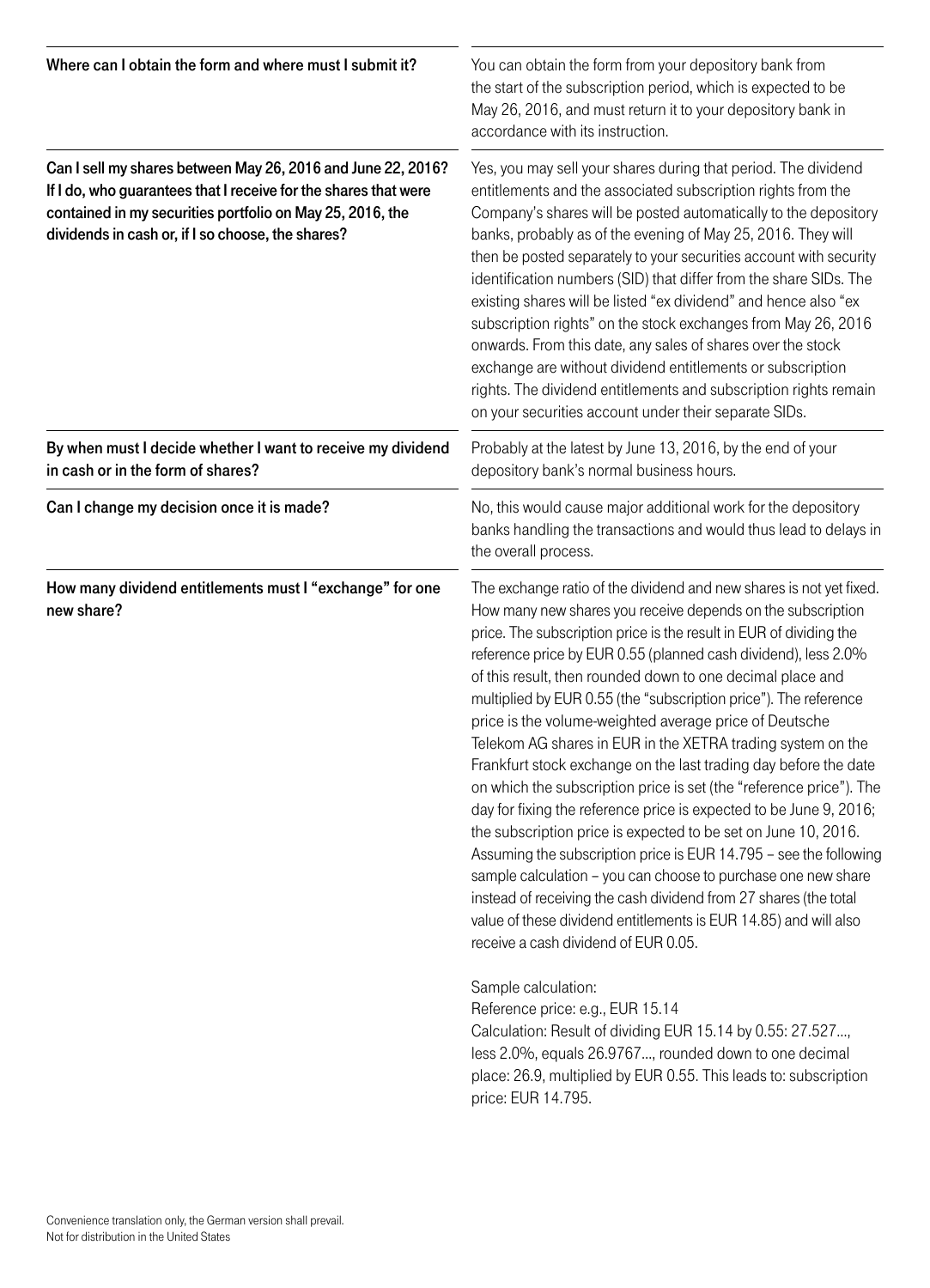| Where can I obtain the form and where must I submit it?                                                                                                                                                                                           | You can obtain the form from your depository bank from<br>the start of the subscription period, which is expected to be<br>May 26, 2016, and must return it to your depository bank in<br>accordance with its instruction.                                                                                                                                                                                                                                                                                                                                                                                                                                                                                                                                                                                                                                                                                                                                                                                                                                                                                                                                                                                                                                                                                                                                                                                                  |
|---------------------------------------------------------------------------------------------------------------------------------------------------------------------------------------------------------------------------------------------------|-----------------------------------------------------------------------------------------------------------------------------------------------------------------------------------------------------------------------------------------------------------------------------------------------------------------------------------------------------------------------------------------------------------------------------------------------------------------------------------------------------------------------------------------------------------------------------------------------------------------------------------------------------------------------------------------------------------------------------------------------------------------------------------------------------------------------------------------------------------------------------------------------------------------------------------------------------------------------------------------------------------------------------------------------------------------------------------------------------------------------------------------------------------------------------------------------------------------------------------------------------------------------------------------------------------------------------------------------------------------------------------------------------------------------------|
| Can I sell my shares between May 26, 2016 and June 22, 2016?<br>If I do, who guarantees that I receive for the shares that were<br>contained in my securities portfolio on May 25, 2016, the<br>dividends in cash or, if I so choose, the shares? | Yes, you may sell your shares during that period. The dividend<br>entitlements and the associated subscription rights from the<br>Company's shares will be posted automatically to the depository<br>banks, probably as of the evening of May 25, 2016. They will<br>then be posted separately to your securities account with security<br>identification numbers (SID) that differ from the share SIDs. The<br>existing shares will be listed "ex dividend" and hence also "ex<br>subscription rights" on the stock exchanges from May 26, 2016<br>onwards. From this date, any sales of shares over the stock<br>exchange are without dividend entitlements or subscription<br>rights. The dividend entitlements and subscription rights remain<br>on your securities account under their separate SIDs.                                                                                                                                                                                                                                                                                                                                                                                                                                                                                                                                                                                                                  |
| By when must I decide whether I want to receive my dividend<br>in cash or in the form of shares?                                                                                                                                                  | Probably at the latest by June 13, 2016, by the end of your<br>depository bank's normal business hours.                                                                                                                                                                                                                                                                                                                                                                                                                                                                                                                                                                                                                                                                                                                                                                                                                                                                                                                                                                                                                                                                                                                                                                                                                                                                                                                     |
| Can I change my decision once it is made?                                                                                                                                                                                                         | No, this would cause major additional work for the depository<br>banks handling the transactions and would thus lead to delays in<br>the overall process.                                                                                                                                                                                                                                                                                                                                                                                                                                                                                                                                                                                                                                                                                                                                                                                                                                                                                                                                                                                                                                                                                                                                                                                                                                                                   |
| How many dividend entitlements must I "exchange" for one<br>new share?                                                                                                                                                                            | The exchange ratio of the dividend and new shares is not yet fixed.<br>How many new shares you receive depends on the subscription<br>price. The subscription price is the result in EUR of dividing the<br>reference price by EUR 0.55 (planned cash dividend), less 2.0%<br>of this result, then rounded down to one decimal place and<br>multiplied by EUR 0.55 (the "subscription price"). The reference<br>price is the volume-weighted average price of Deutsche<br>Telekom AG shares in EUR in the XETRA trading system on the<br>Frankfurt stock exchange on the last trading day before the date<br>on which the subscription price is set (the "reference price"). The<br>day for fixing the reference price is expected to be June 9, 2016;<br>the subscription price is expected to be set on June 10, 2016.<br>Assuming the subscription price is EUR 14.795 - see the following<br>sample calculation - you can choose to purchase one new share<br>instead of receiving the cash dividend from 27 shares (the total<br>value of these dividend entitlements is EUR 14.85) and will also<br>receive a cash dividend of EUR 0.05.<br>Sample calculation:<br>Reference price: e.g., EUR 15.14<br>Calculation: Result of dividing EUR 15.14 by 0.55: 27.527,<br>less 2.0%, equals 26.9767, rounded down to one decimal<br>place: 26.9, multiplied by EUR 0.55. This leads to: subscription<br>price: EUR 14.795. |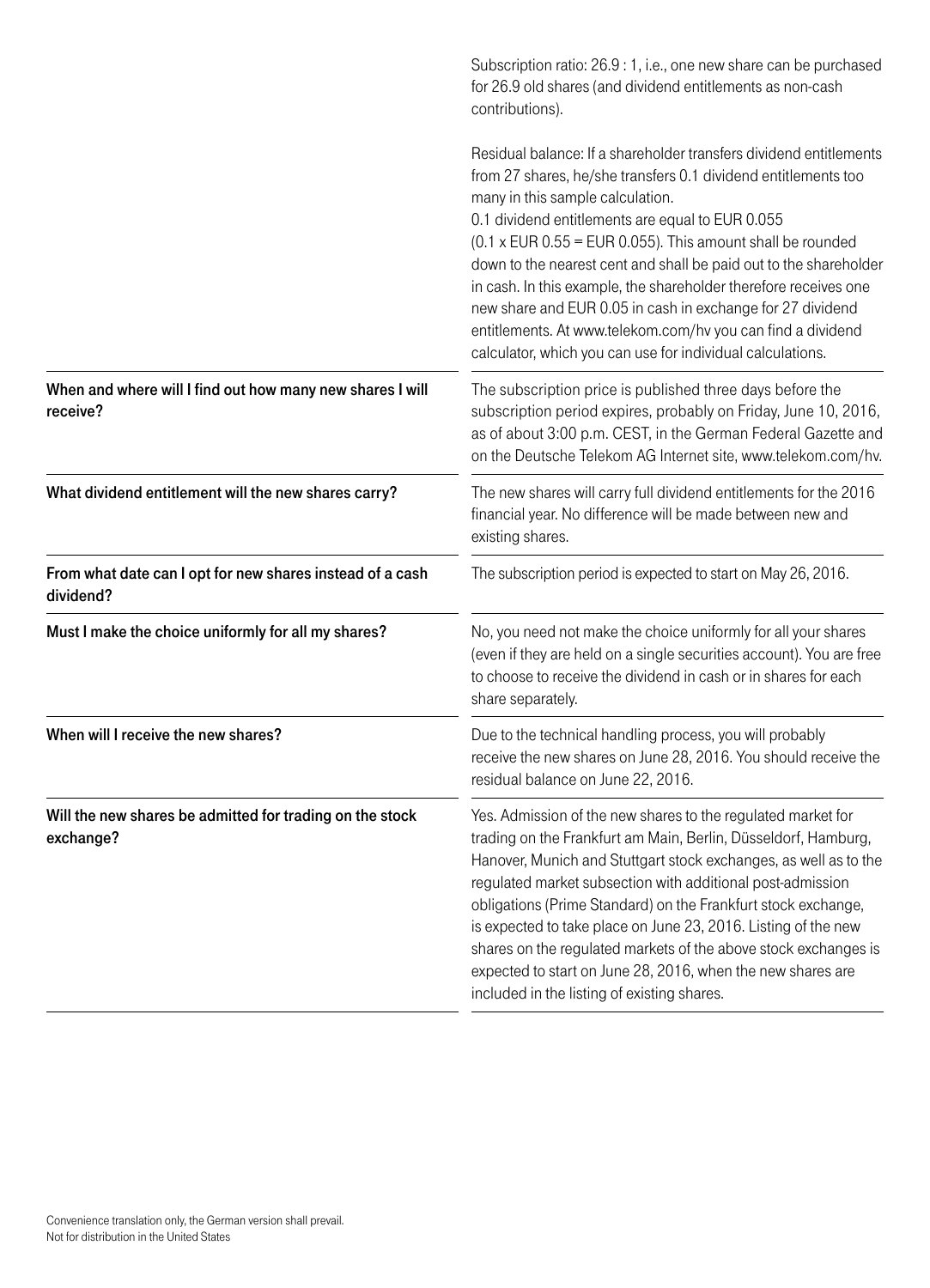|                                                                        | Subscription ratio: 26.9 : 1, i.e., one new share can be purchased<br>for 26.9 old shares (and dividend entitlements as non-cash<br>contributions).                                                                                                                                                                                                                                                                                                                                                                                                                                                                                |
|------------------------------------------------------------------------|------------------------------------------------------------------------------------------------------------------------------------------------------------------------------------------------------------------------------------------------------------------------------------------------------------------------------------------------------------------------------------------------------------------------------------------------------------------------------------------------------------------------------------------------------------------------------------------------------------------------------------|
|                                                                        | Residual balance: If a shareholder transfers dividend entitlements<br>from 27 shares, he/she transfers 0.1 dividend entitlements too<br>many in this sample calculation.<br>0.1 dividend entitlements are equal to EUR 0.055<br>$(0.1 x$ EUR $0.55$ = EUR 0.055). This amount shall be rounded<br>down to the nearest cent and shall be paid out to the shareholder<br>in cash. In this example, the shareholder therefore receives one<br>new share and EUR 0.05 in cash in exchange for 27 dividend<br>entitlements. At www.telekom.com/hv you can find a dividend<br>calculator, which you can use for individual calculations. |
| When and where will I find out how many new shares I will<br>receive?  | The subscription price is published three days before the<br>subscription period expires, probably on Friday, June 10, 2016,<br>as of about 3:00 p.m. CEST, in the German Federal Gazette and<br>on the Deutsche Telekom AG Internet site, www.telekom.com/hv.                                                                                                                                                                                                                                                                                                                                                                     |
| What dividend entitlement will the new shares carry?                   | The new shares will carry full dividend entitlements for the 2016<br>financial year. No difference will be made between new and<br>existing shares.                                                                                                                                                                                                                                                                                                                                                                                                                                                                                |
| From what date can I opt for new shares instead of a cash<br>dividend? | The subscription period is expected to start on May 26, 2016.                                                                                                                                                                                                                                                                                                                                                                                                                                                                                                                                                                      |
| Must I make the choice uniformly for all my shares?                    | No, you need not make the choice uniformly for all your shares<br>(even if they are held on a single securities account). You are free<br>to choose to receive the dividend in cash or in shares for each<br>share separately.                                                                                                                                                                                                                                                                                                                                                                                                     |
| When will I receive the new shares?                                    | Due to the technical handling process, you will probably<br>receive the new shares on June 28, 2016. You should receive the<br>residual balance on June 22, 2016.                                                                                                                                                                                                                                                                                                                                                                                                                                                                  |
| Will the new shares be admitted for trading on the stock<br>exchange?  | Yes. Admission of the new shares to the regulated market for<br>trading on the Frankfurt am Main, Berlin, Düsseldorf, Hamburg,<br>Hanover, Munich and Stuttgart stock exchanges, as well as to the<br>regulated market subsection with additional post-admission<br>obligations (Prime Standard) on the Frankfurt stock exchange,<br>is expected to take place on June 23, 2016. Listing of the new<br>shares on the regulated markets of the above stock exchanges is<br>expected to start on June 28, 2016, when the new shares are<br>included in the listing of existing shares.                                               |